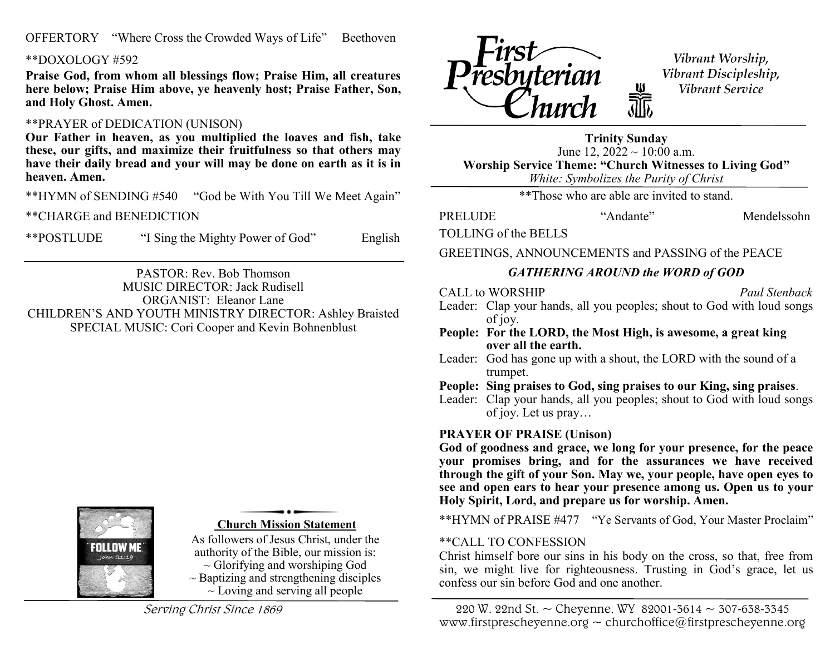OFFERTORY "Where Cross the Crowded Ways of Life" Beethoven

#### \*\*DOXOLOGY #592

**Praise God, from whom all blessings flow; Praise Him, all creatures here below; Praise Him above, ye heavenly host; Praise Father, Son, and Holy Ghost. Amen.**

#### \*\*PRAYER of DEDICATION (UNISON)

**Our Father in heaven, as you multiplied the loaves and fish, take these, our gifts, and maximize their fruitfulness so that others may have their daily bread and your will may be done on earth as it is in heaven. Amen.**

\*\*HYMN of SENDING #540 "God be With You Till We Meet Again"

\*\*CHARGE and BENEDICTION

\*\*POSTLUDE "I Sing the Mighty Power of God" English

PASTOR: Rev. Bob Thomson MUSIC DIRECTOR: Jack Rudisell ORGANIST: Eleanor Lane CHILDREN'S AND YOUTH MINISTRY DIRECTOR: Ashley Braisted SPECIAL MUSIC: Cori Cooper and Kevin Bohnenblust



**Church Mission Statement** 

As followers of Jesus Christ, under the authority of the Bible, our mission is:  $\sim$  Glorifying and worshiping God  $\sim$  Baptizing and strengthening disciples  $\sim$  Loving and serving all people

Serving Christ Since 1869



Vibrant Worship, Vibrant Discipleship, Vibrant Service

**Trinity Sunday** June 12,  $2022 \sim 10:00$  a.m. **Worship Service Theme: "Church Witnesses to Living God"** *White: Symbolizes the Purity of Christ*

a<br>alb

\*\*Those who are able are invited to stand.

PRELUDE "Andante" Mendelssohn

TOLLING of the BELLS

GREETINGS, ANNOUNCEMENTS and PASSING of the PEACE

#### *GATHERING AROUND the WORD of GOD*

CALL to WORSHIP *Paul Stenback* 

- Leader: Clap your hands, all you peoples; shout to God with loud songs of joy.
- **People: For the LORD, the Most High, is awesome, a great king over all the earth.**
- Leader: God has gone up with a shout, the LORD with the sound of a trumpet.
- **People: Sing praises to God, sing praises to our King, sing praises**.

Leader: Clap your hands, all you peoples; shout to God with loud songs of joy. Let us pray…

#### **PRAYER OF PRAISE (Unison)**

**God of goodness and grace, we long for your presence, for the peace your promises bring, and for the assurances we have received through the gift of your Son. May we, your people, have open eyes to see and open ears to hear your presence among us. Open us to your Holy Spirit, Lord, and prepare us for worship. Amen.**

\*\*HYMN of PRAISE #477 "Ye Servants of God, Your Master Proclaim"

#### \*\*CALL TO CONFESSION

Christ himself bore our sins in his body on the cross, so that, free from sin, we might live for righteousness. Trusting in God's grace, let us confess our sin before God and one another.